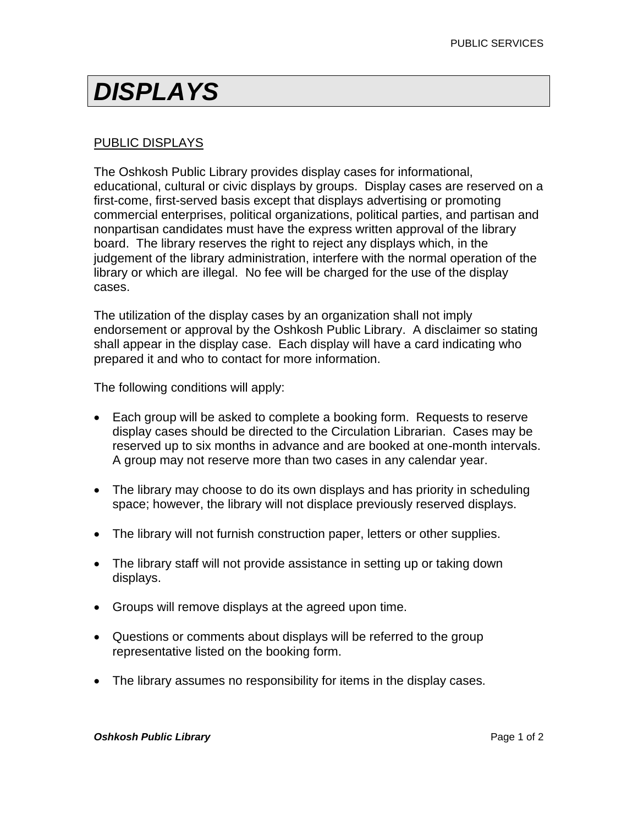## *DISPLAYS*

## PUBLIC DISPLAYS

The Oshkosh Public Library provides display cases for informational, educational, cultural or civic displays by groups. Display cases are reserved on a first-come, first-served basis except that displays advertising or promoting commercial enterprises, political organizations, political parties, and partisan and nonpartisan candidates must have the express written approval of the library board. The library reserves the right to reject any displays which, in the judgement of the library administration, interfere with the normal operation of the library or which are illegal. No fee will be charged for the use of the display cases.

The utilization of the display cases by an organization shall not imply endorsement or approval by the Oshkosh Public Library. A disclaimer so stating shall appear in the display case. Each display will have a card indicating who prepared it and who to contact for more information.

The following conditions will apply:

- Each group will be asked to complete a booking form. Requests to reserve display cases should be directed to the Circulation Librarian. Cases may be reserved up to six months in advance and are booked at one-month intervals. A group may not reserve more than two cases in any calendar year.
- The library may choose to do its own displays and has priority in scheduling space; however, the library will not displace previously reserved displays.
- The library will not furnish construction paper, letters or other supplies.
- The library staff will not provide assistance in setting up or taking down displays.
- Groups will remove displays at the agreed upon time.
- Questions or comments about displays will be referred to the group representative listed on the booking form.
- The library assumes no responsibility for items in the display cases.